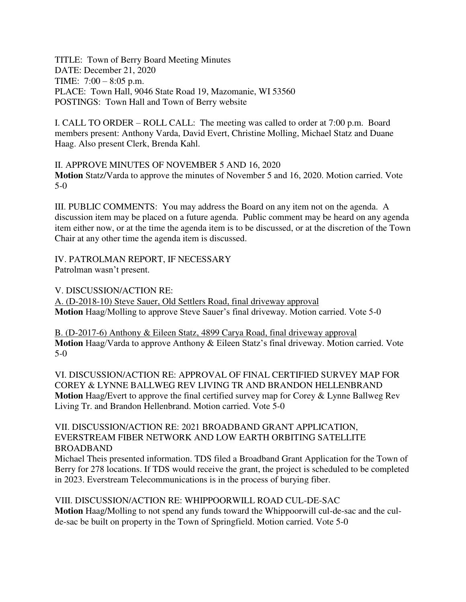TITLE: Town of Berry Board Meeting Minutes DATE: December 21, 2020 TIME: 7:00 – 8:05 p.m. PLACE: Town Hall, 9046 State Road 19, Mazomanie, WI 53560 POSTINGS: Town Hall and Town of Berry website

I. CALL TO ORDER – ROLL CALL: The meeting was called to order at 7:00 p.m. Board members present: Anthony Varda, David Evert, Christine Molling, Michael Statz and Duane Haag. Also present Clerk, Brenda Kahl.

II. APPROVE MINUTES OF NOVEMBER 5 AND 16, 2020 **Motion** Statz/Varda to approve the minutes of November 5 and 16, 2020. Motion carried. Vote 5-0

III. PUBLIC COMMENTS: You may address the Board on any item not on the agenda. A discussion item may be placed on a future agenda. Public comment may be heard on any agenda item either now, or at the time the agenda item is to be discussed, or at the discretion of the Town Chair at any other time the agenda item is discussed.

IV. PATROLMAN REPORT, IF NECESSARY Patrolman wasn't present.

V. DISCUSSION/ACTION RE:

A. (D-2018-10) Steve Sauer, Old Settlers Road, final driveway approval **Motion** Haag/Molling to approve Steve Sauer's final driveway. Motion carried. Vote 5-0

B. (D-2017-6) Anthony & Eileen Statz, 4899 Carya Road, final driveway approval **Motion** Haag/Varda to approve Anthony & Eileen Statz's final driveway. Motion carried. Vote 5-0

VI. DISCUSSION/ACTION RE: APPROVAL OF FINAL CERTIFIED SURVEY MAP FOR COREY & LYNNE BALLWEG REV LIVING TR AND BRANDON HELLENBRAND **Motion** Haag/Evert to approve the final certified survey map for Corey & Lynne Ballweg Rev Living Tr. and Brandon Hellenbrand. Motion carried. Vote 5-0

## VII. DISCUSSION/ACTION RE: 2021 BROADBAND GRANT APPLICATION, EVERSTREAM FIBER NETWORK AND LOW EARTH ORBITING SATELLITE BROADBAND

Michael Theis presented information. TDS filed a Broadband Grant Application for the Town of Berry for 278 locations. If TDS would receive the grant, the project is scheduled to be completed in 2023. Everstream Telecommunications is in the process of burying fiber.

VIII. DISCUSSION/ACTION RE: WHIPPOORWILL ROAD CUL-DE-SAC **Motion** Haag/Molling to not spend any funds toward the Whippoorwill cul-de-sac and the culde-sac be built on property in the Town of Springfield. Motion carried. Vote 5-0